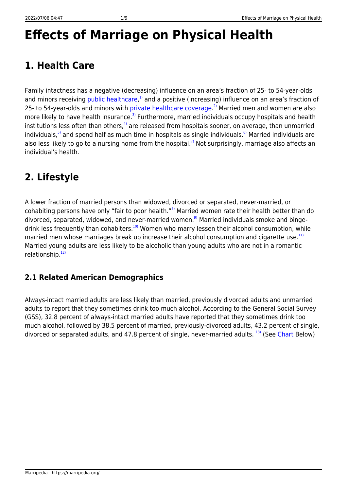# **Effects of Marriage on Physical Health**

### **1. Health Care**

Family intactness has a negative (decreasing) influence on an area's fraction of 25- to 54-year-olds and minors receiving [public healthcare](https://marripedia.org/effects_of_family_structure_on_healthcare_coverage),<sup>[1\)](#page--1-0)</sup> and a positive (increasing) influence on an area's fraction of 25- to 54-year-olds and minors with [private healthcare coverage](https://marripedia.org/effects_of_family_structure_on_healthcare_coverage).<sup>[2\)](#page--1-0)</sup> Married men and women are also more likely to have health insurance.<sup>[3\)](#page--1-0)</sup> Furthermore, married individuals occupy hospitals and health institutions less often than others, $4$  are released from hospitals sooner, on average, than unmarried individuals, $5$  and spend half as much time in hospitals as single individuals.<sup>[6\)](#page--1-0)</sup> Married individuals are also less likely to go to a nursing home from the hospital.<sup>[7\)](#page--1-0)</sup> Not surprisingly, marriage also affects an individual's health.

### **2. Lifestyle**

A lower fraction of married persons than widowed, divorced or separated, never-married, or cohabiting persons have only "fair to poor health."<sup>[8\)](#page--1-0)</sup> Married women rate their health better than do divorced, separated, widowed, and never-married women.<sup>[9\)](#page--1-0)</sup> Married individuals smoke and binge-drink less frequently than cohabiters.<sup>[10\)](#page--1-0)</sup> Women who marry lessen their alcohol consumption, while married men whose marriages break up increase their alcohol consumption and cigarette use.<sup>[11\)](#page--1-0)</sup> Married young adults are less likely to be alcoholic than young adults who are not in a romantic relationship.[12\)](#page--1-0)

#### **2.1 Related American Demographics**

Always-intact married adults are less likely than married, previously divorced adults and unmarried adults to report that they sometimes drink too much alcohol. According to the General Social Survey (GSS), 32.8 percent of always-intact married adults have reported that they sometimes drink too much alcohol, followed by 38.5 percent of married, previously-divorced adults, 43.2 percent of single, divorced or separated adults, and 47.8 percent of single, never-married adults.  $^{13}$  (See [Chart](http://downloads.frc.org/EF/EF10A53.pdf) Below)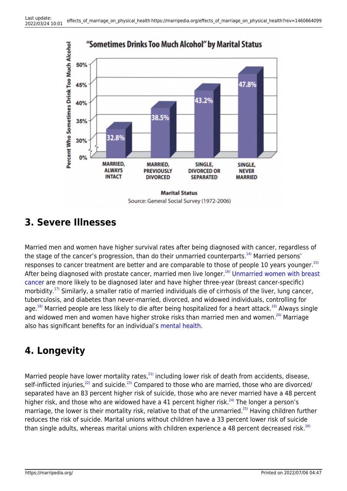

#### **3. Severe Illnesses**

Married men and women have higher survival rates after being diagnosed with cancer, regardless of the stage of the cancer's progression, than do their unmarried counterparts.<sup>[14\)](#page--1-0)</sup> Married persons' responses to cancer treatment are better and are comparable to those of people 10 years younger.<sup>[15\)](#page--1-0)</sup> After being diagnosed with prostate cancer, married men live longer.<sup>[16\)](#page--1-0)</sup> [Unmarried women with breast](https://marripedia.org/effects_of_pregnancy_on_breast_cancer_risks) [cancer](https://marripedia.org/effects_of_pregnancy_on_breast_cancer_risks) are more likely to be diagnosed later and have higher three-year (breast cancer-specific) morbidity.[17\)](#page--1-0) Similarly, a smaller ratio of married individuals die of cirrhosis of the liver, lung cancer, tuberculosis, and diabetes than never-married, divorced, and widowed individuals, controlling for age.<sup>[18\)](#page--1-0)</sup> Married people are less likely to die after being hospitalized for a heart attack.<sup>[19\)](#page--1-0)</sup> Always single and widowed men and women have higher stroke risks than married men and women.<sup>[20\)](#page--1-0)</sup> Marriage also has significant benefits for an individual's [mental health.](https://marripedia.org/effects.of.marriage.on.mental.health)

### **4. Longevity**

Married people have lower mortality rates.<sup>[21\)](#page--1-0)</sup> including lower risk of death from accidents, disease, self-inflicted injuries,<sup>[22\)](#page--1-0)</sup> and suicide.<sup>[23\)](#page--1-0)</sup> Compared to those who are married, those who are divorced/ separated have an 83 percent higher risk of suicide, those who are never married have a 48 percent higher risk, and those who are widowed have a 41 percent higher risk. $^{24}$  The longer a person's marriage, the lower is their mortality risk, relative to that of the unmarried.<sup>[25\)](#page--1-0)</sup> Having children further reduces the risk of suicide. Marital unions without children have a 33 percent lower risk of suicide than single adults, whereas marital unions with children experience a 48 percent decreased risk.<sup>[26\)](#page--1-0)</sup>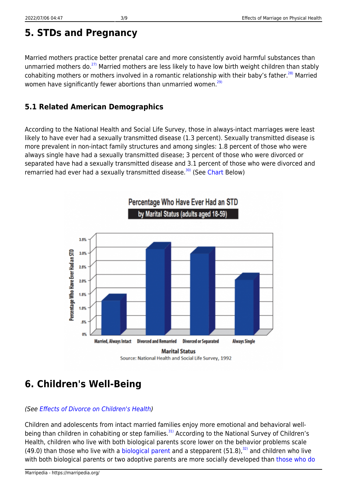### **5. STDs and Pregnancy**

Married mothers practice better prenatal care and more consistently avoid harmful substances than unmarried mothers do.<sup>[27\)](#page--1-0)</sup> Married mothers are less likely to have low birth weight children than stably cohabiting mothers or mothers involved in a romantic relationship with their baby's father.<sup>[28\)](#page--1-0)</sup> Married women have significantly fewer abortions than unmarried women.<sup>[29\)](#page--1-0)</sup>

#### **5.1 Related American Demographics**

According to the National Health and Social Life Survey, those in always-intact marriages were least likely to have ever had a sexually transmitted disease (1.3 percent). Sexually transmitted disease is more prevalent in non-intact family structures and among singles: 1.8 percent of those who were always single have had a sexually transmitted disease; 3 percent of those who were divorced or separated have had a sexually transmitted disease and 3.1 percent of those who were divorced and remarried had ever had a sexually transmitted disease.<sup>[30\)](#page--1-0)</sup> (See [Chart](http://downloads.frc.org/EF/EF13K50.pdf) Below)



Source: National Health and Social Life Survey, 1992

## **6. Children's Well-Being**

#### (See [Effects of Divorce on Children's Health](https://marripedia.org/effects_of_divorce_on_children_s_health))

Children and adolescents from intact married families enjoy more emotional and behavioral well-being than children in cohabiting or step families.<sup>[31\)](#page--1-0)</sup> According to the National Survey of Children's Health, children who live with both biological parents score lower on the behavior problems scale (49.0) than those who live with a [biological parent](https://marripedia.org/effects.of.divorce.on.children.s.behavior) and a stepparent (51.8), $32$ ) and children who live with both biological parents or two adoptive parents are more socially developed than [those who do](https://marripedia.org/effects.of.divorce.on.children.s.social.skills)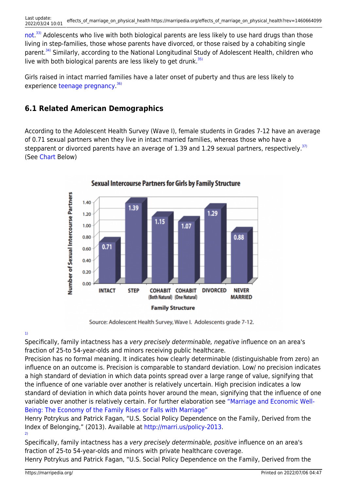[not.](https://marripedia.org/effects.of.divorce.on.children.s.social.skills)<sup>[33\)](#page--1-0)</sup> Adolescents who live with both biological parents are less likely to use hard drugs than those living in step-families, those whose parents have divorced, or those raised by a cohabiting single parent.<sup>[34\)](#page--1-0)</sup> Similarly, according to the National Longitudinal Study of Adolescent Health, children who live with both biological parents are less likely to get drunk.<sup>[35\)](#page--1-0)</sup>

Girls raised in intact married families have a later onset of puberty and thus are less likely to experience [teenage pregnancy](https://marripedia.org/effects_of_family_structure_on_teen_pregnancies).<sup>[36\)](#page--1-0)</sup>

#### **6.1 Related American Demographics**

According to the Adolescent Health Survey (Wave I), female students in Grades 7-12 have an average of 0.71 sexual partners when they live in intact married families, whereas those who have a stepparent or divorced parents have an average of 1.39 and 1.29 sexual partners, respectively.<sup>[37\)](#page--1-0)</sup> (See [Chart](http://downloads.frc.org/EF/EF08K28.pdf) Below)



**Sexual Intercourse Partners for Girls by Family Structure** 

Source: Adolescent Health Survey, Wave I. Adolescents grade 7-12.

#### [1\)](#page--1-0)

Specifically, family intactness has a very precisely determinable, negative influence on an area's fraction of 25-to 54-year-olds and minors receiving public healthcare.

Precision has no formal meaning. It indicates how clearly determinable (distinguishable from zero) an influence on an outcome is. Precision is comparable to standard deviation. Low/ no precision indicates a high standard of deviation in which data points spread over a large range of value, signifying that the influence of one variable over another is relatively uncertain. High precision indicates a low standard of deviation in which data points hover around the mean, signifying that the influence of one variable over another is relatively certain. For further elaboration see ["Marriage and Economic Well-](http://marri.frc.org/get.cfm?i=RS11E03)[Being: The Economy of the Family Rises or Falls with Marriage"](http://marri.frc.org/get.cfm?i=RS11E03)

Henry Potrykus and Patrick Fagan, "U.S. Social Policy Dependence on the Family, Derived from the Index of Belonging," (2013). Available at<http://marri.us/policy-2013>. [2\)](#page--1-0)

Specifically, family intactness has a very precisely determinable, positive influence on an area's fraction of 25-to 54-year-olds and minors with private healthcare coverage.

Henry Potrykus and Patrick Fagan, "U.S. Social Policy Dependence on the Family, Derived from the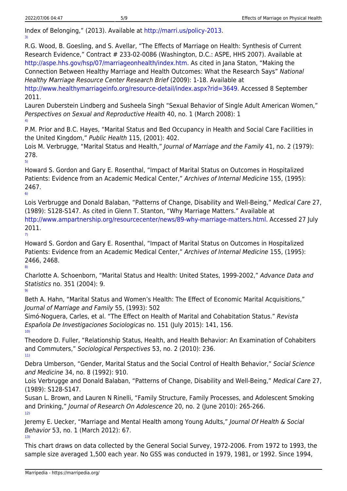[3\)](#page--1-0)

[8\)](#page--1-0)

[9\)](#page--1-0)

Index of Belonging," (2013). Available at<http://marri.us/policy-2013>.

R.G. Wood, B. Goesling, and S. Avellar, "The Effects of Marriage on Health: Synthesis of Current Research Evidence," Contract # 233-02-0086 (Washington, D.C.: ASPE, HHS 2007). Available at <http://aspe.hhs.gov/hsp/07/marriageonhealth/index.htm>. As cited in Jana Staton, "Making the Connection Between Healthy Marriage and Health Outcomes: What the Research Says" National Healthy Marriage Resource Center Research Brief (2009): 1-18. Available at

<http://www.healthymarriageinfo.org/resource-detail/index.aspx?rid=3649.>Accessed 8 September 2011.

Lauren Duberstein Lindberg and Susheela Singh "Sexual Behavior of Single Adult American Women," Perspectives on Sexual and Reproductive Health 40, no. 1 (March 2008): 1 [4\)](#page--1-0)

P.M. Prior and B.C. Hayes, "Marital Status and Bed Occupancy in Health and Social Care Facilities in the United Kingdom," Public Health 115, (2001): 402.

Lois M. Verbrugge, "Marital Status and Health," Journal of Marriage and the Family 41, no. 2 (1979): 278. [5\)](#page--1-0)

Howard S. Gordon and Gary E. Rosenthal, "Impact of Marital Status on Outcomes in Hospitalized Patients: Evidence from an Academic Medical Center," Archives of Internal Medicine 155, (1995): 2467. [6\)](#page--1-0)

Lois Verbrugge and Donald Balaban, "Patterns of Change, Disability and Well-Being," Medical Care 27, (1989): S128-S147. As cited in Glenn T. Stanton, "Why Marriage Matters." Available at <http://www.ampartnership.org/resourcecenter/news/89-why-marriage-matters.html>. Accessed 27 July 2011. [7\)](#page--1-0)

Howard S. Gordon and Gary E. Rosenthal, "Impact of Marital Status on Outcomes in Hospitalized Patients: Evidence from an Academic Medical Center," Archives of Internal Medicine 155, (1995): 2466, 2468.

Charlotte A. Schoenborn, "Marital Status and Health: United States, 1999-2002," Advance Data and Statistics no. 351 (2004): 9.

Beth A. Hahn, "Marital Status and Women's Health: The Effect of Economic Marital Acquisitions," Journal of Marriage and Family 55, (1993): 502

Simó-Noguera, Carles, et al. "The Effect on Health of Marital and Cohabitation Status." Revista Española De Investigaciones Sociologicas no. 151 (July 2015): 141, 156. [10\)](#page--1-0)

Theodore D. Fuller, "Relationship Status, Health, and Health Behavior: An Examination of Cohabiters and Commuters," Sociological Perspectives 53, no. 2 (2010): 236. [11\)](#page--1-0)

Debra Umberson, "Gender, Marital Status and the Social Control of Health Behavior," Social Science and Medicine 34, no. 8 (1992): 910.

Lois Verbrugge and Donald Balaban, "Patterns of Change, Disability and Well-Being," Medical Care 27, (1989): S128-S147.

Susan L. Brown, and Lauren N Rinelli, "Family Structure, Family Processes, and Adolescent Smoking and Drinking," Journal of Research On Adolescence 20, no. 2 (June 2010): 265-266. [12\)](#page--1-0)

Jeremy E. Uecker, "Marriage and Mental Health among Young Adults," Journal Of Health & Social Behavior 53, no. 1 (March 2012): 67. [13\)](#page--1-0)

This chart draws on data collected by the General Social Survey, 1972-2006. From 1972 to 1993, the sample size averaged 1,500 each year. No GSS was conducted in 1979, 1981, or 1992. Since 1994,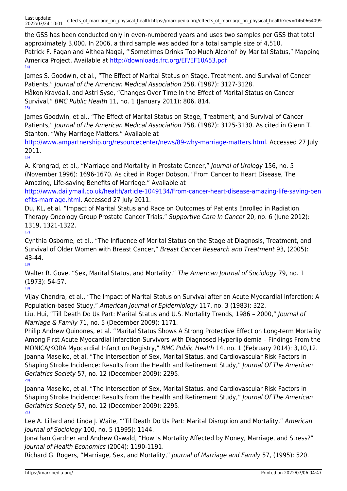the GSS has been conducted only in even-numbered years and uses two samples per GSS that total approximately 3,000. In 2006, a third sample was added for a total sample size of 4,510. Patrick F. Fagan and Althea Nagai, "'Sometimes Drinks Too Much Alcohol' by Marital Status," Mapping America Project. Available at <http://downloads.frc.org/EF/EF10A53.pdf> [14\)](#page--1-0)

James S. Goodwin, et al., "The Effect of Marital Status on Stage, Treatment, and Survival of Cancer Patients," Journal of the American Medical Association 258, (1987): 3127-3128. Håkon Kravdall, and Astri Syse, "Changes Over Time In the Effect of Marital Status on Cancer Survival," BMC Public Health 11, no. 1 (January 2011): 806, 814.

[15\)](#page--1-0)

James Goodwin, et al., "The Effect of Marital Status on Stage, Treatment, and Survival of Cancer Patients," Journal of the American Medical Association 258, (1987): 3125-3130. As cited in Glenn T. Stanton, "Why Marriage Matters." Available at

<http://www.ampartnership.org/resourcecenter/news/89-why-marriage-matters.html>. Accessed 27 July 2011.

[16\)](#page--1-0)

A. Krongrad, et al., "Marriage and Mortality in Prostate Cancer," Journal of Urology 156, no. 5 (November 1996): 1696-1670. As cited in Roger Dobson, "From Cancer to Heart Disease, The Amazing, Life-saving Benefits of Marriage." Available at

[http://www.dailymail.co.uk/health/article-1049134/From-cancer-heart-disease-amazing-life-saving-ben](http://www.dailymail.co.uk/health/article-1049134/From-cancer-heart-disease-amazing-life-saving-benefits-marriage.html) [efits-marriage.html](http://www.dailymail.co.uk/health/article-1049134/From-cancer-heart-disease-amazing-life-saving-benefits-marriage.html). Accessed 27 July 2011.

Du, KL, et al. "Impact of Marital Status and Race on Outcomes of Patients Enrolled in Radiation Therapy Oncology Group Prostate Cancer Trials," Supportive Care In Cancer 20, no. 6 (June 2012): 1319, 1321-1322.

[17\)](#page--1-0)

Cynthia Osborne, et al., "The Influence of Marital Status on the Stage at Diagnosis, Treatment, and Survival of Older Women with Breast Cancer," Breast Cancer Research and Treatment 93, (2005): 43-44. [18\)](#page--1-0)

Walter R. Gove, "Sex, Marital Status, and Mortality," The American Journal of Sociology 79, no. 1 (1973): 54-57.

[19\)](#page--1-0)

Vijay Chandra, et al., "The Impact of Marital Status on Survival after an Acute Myocardial Infarction: A Population-based Study," American Journal of Epidemiology 117, no. 3 (1983): 322.

Liu, Hui, "Till Death Do Us Part: Marital Status and U.S. Mortality Trends, 1986 – 2000," Journal of Marriage & Family 71, no. 5 (December 2009): 1171.

Philip Andrew Quinones, et al. "Marital Status Shows A Strong Protective Effect on Long-term Mortality Among First Acute Myocardial Infarction-Survivors with Diagnosed Hyperlipidemia – Findings From the MONICA/KORA Myocardial Infarction Registry," BMC Public Health 14, no. 1 (February 2014): 3,10,12. Joanna Maselko, et al, "The Intersection of Sex, Marital Status, and Cardiovascular Risk Factors in Shaping Stroke Incidence: Results from the Health and Retirement Study," Journal Of The American Geriatrics Society 57, no. 12 (December 2009): 2295. [20\)](#page--1-0)

Joanna Maselko, et al, "The Intersection of Sex, Marital Status, and Cardiovascular Risk Factors in Shaping Stroke Incidence: Results from the Health and Retirement Study," Journal Of The American Geriatrics Society 57, no. 12 (December 2009): 2295. [21\)](#page--1-0)

Lee A. Lillard and Linda J. Waite, "'Til Death Do Us Part: Marital Disruption and Mortality," American Journal of Sociology 100, no. 5 (1995): 1144.

Jonathan Gardner and Andrew Oswald, "How Is Mortality Affected by Money, Marriage, and Stress?" Journal of Health Economics (2004): 1190-1191.

Richard G. Rogers, "Marriage, Sex, and Mortality," Journal of Marriage and Family 57, (1995): 520.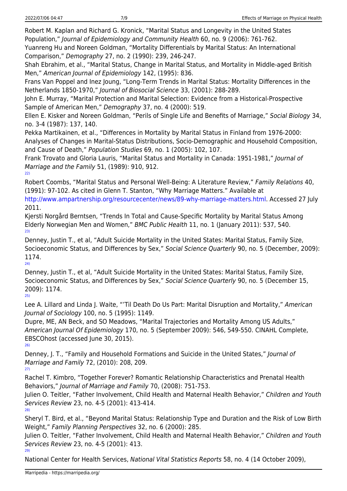Robert M. Kaplan and Richard G. Kronick, "Marital Status and Longevity in the United States Population," Journal of Epidemiology and Community Health 60, no. 9 (2006): 761-762.

Yuanreng Hu and Noreen Goldman, "Mortality Differentials by Marital Status: An International Comparison," Demography 27, no. 2 (1990): 239, 246-247.

Shah Ebrahim, et al., "Marital Status, Change in Marital Status, and Mortality in Middle-aged British Men," American Journal of Epidemiology 142, (1995): 836.

Frans Van Poppel and Inez Joung, "Long-Term Trends in Marital Status: Mortality Differences in the Netherlands 1850-1970," Journal of Biosocial Science 33, (2001): 288-289.

John E. Murray, "Marital Protection and Marital Selection: Evidence from a Historical-Prospective Sample of American Men," Demography 37, no. 4 (2000): 519.

Ellen E. Kisker and Noreen Goldman, "Perils of Single Life and Benefits of Marriage," Social Biology 34, no. 3-4 (1987): 137, 140.

Pekka Martikainen, et al., "Differences in Mortality by Marital Status in Finland from 1976-2000: Analyses of Changes in Marital-Status Distributions, Socio-Demographic and Household Composition, and Cause of Death," Population Studies 69, no. 1 (2005): 102, 107.

Frank Trovato and Gloria Lauris, "Marital Status and Mortality in Canada: 1951-1981," Journal of Marriage and the Family 51, (1989): 910, 912. [22\)](#page--1-0)

Robert Coombs, "Marital Status and Personal Well-Being: A Literature Review," Family Relations 40, (1991): 97-102. As cited in Glenn T. Stanton, "Why Marriage Matters." Available at

<http://www.ampartnership.org/resourcecenter/news/89-why-marriage-matters.html>. Accessed 27 July 2011.

Kjersti Norgård Berntsen, "Trends In Total and Cause-Specific Mortality by Marital Status Among Elderly Norwegian Men and Women," BMC Public Health 11, no. 1 (January 2011): 537, 540. [23\)](#page--1-0)

Denney, Justin T., et al, "Adult Suicide Mortality in the United States: Marital Status, Family Size, Socioeconomic Status, and Differences by Sex," Social Science Quarterly 90, no. 5 (December, 2009): 1174. [24\)](#page--1-0)

Denney, Justin T., et al, "Adult Suicide Mortality in the United States: Marital Status, Family Size, Socioeconomic Status, and Differences by Sex," Social Science Quarterly 90, no. 5 (December 15, 2009): 1174. [25\)](#page--1-0)

Lee A. Lillard and Linda J. Waite, "'Til Death Do Us Part: Marital Disruption and Mortality," American Journal of Sociology 100, no. 5 (1995): 1149.

Dupre, ME, AN Beck, and SO Meadows, "Marital Trajectories and Mortality Among US Adults," American Journal Of Epidemiology 170, no. 5 (September 2009): 546, 549-550. CINAHL Complete, EBSCOhost (accessed June 30, 2015). [26\)](#page--1-0)

Denney, J. T., "Family and Household Formations and Suicide in the United States," Journal of Marriage and Family 72, (2010): 208, 209. [27\)](#page--1-0)

Rachel T. Kimbro, "Together Forever? Romantic Relationship Characteristics and Prenatal Health Behaviors," Journal of Marriage and Family 70, (2008): 751-753.

Julien O. Teitler, "Father Involvement, Child Health and Maternal Health Behavior," Children and Youth Services Review 23, no. 4-5 (2001): 413-414. [28\)](#page--1-0)

Sheryl T. Bird, et al., "Beyond Marital Status: Relationship Type and Duration and the Risk of Low Birth Weight," Family Planning Perspectives 32, no. 6 (2000): 285.

Julien O. Teitler, "Father Involvement, Child Health and Maternal Health Behavior," Children and Youth Services Review 23, no. 4-5 (2001): 413.

[29\)](#page--1-0)

National Center for Health Services, National Vital Statistics Reports 58, no. 4 (14 October 2009),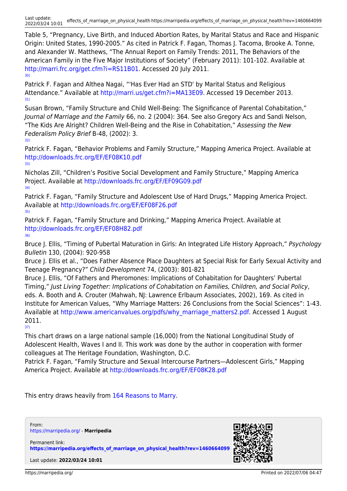Table 5, "Pregnancy, Live Birth, and Induced Abortion Rates, by Marital Status and Race and Hispanic Origin: United States, 1990-2005." As cited in Patrick F. Fagan, Thomas J. Tacoma, Brooke A. Tonne, and Alexander W. Matthews, "The Annual Report on Family Trends: 2011, The Behaviors of the American Family in the Five Major Institutions of Society" (February 2011): 101-102. Available at [http://marri.frc.org/get.cfm?i=RS11B01.](http://marri.frc.org/get.cfm?i=RS11B01) Accessed 20 July 2011. [30\)](#page--1-0)

Patrick F. Fagan and Althea Nagai, "'Has Ever Had an STD' by Marital Status and Religious Attendance." Available at <http://marri.us/get.cfm?i=MA13E09>. Accessed 19 December 2013. [31\)](#page--1-0)

Susan Brown, "Family Structure and Child Well-Being: The Significance of Parental Cohabitation," Journal of Marriage and the Family 66, no. 2 (2004): 364. See also Gregory Acs and Sandi Nelson, "The Kids Are Alright? Children Well-Being and the Rise in Cohabitation," Assessing the New Federalism Policy Brief B-48, (2002): 3.

[32\)](#page--1-0)

Patrick F. Fagan, "Behavior Problems and Family Structure," Mapping America Project. Available at <http://downloads.frc.org/EF/EF08K10.pdf> [33\)](#page--1-0)

Nicholas Zill, "Children's Positive Social Development and Family Structure," Mapping America Project. Available at <http://downloads.frc.org/EF/EF09G09.pdf>

[34\)](#page--1-0)

Patrick F. Fagan, "Family Structure and Adolescent Use of Hard Drugs," Mapping America Project. Available at<http://downloads.frc.org/EF/EF08F26.pdf>

[35\)](#page--1-0)

[36\)](#page--1-0)

Patrick F. Fagan, "Family Structure and Drinking," Mapping America Project. Available at <http://downloads.frc.org/EF/EF08H82.pdf>

Bruce J. Ellis, "Timing of Pubertal Maturation in Girls: An Integrated Life History Approach," Psychology Bulletin 130, (2004): 920-958

Bruce J. Ellis et al., "Does Father Absence Place Daughters at Special Risk for Early Sexual Activity and Teenage Pregnancy?" Child Development 74, (2003): 801-821

Bruce J. Ellis, "Of Fathers and Pheromones: Implications of Cohabitation for Daughters' Pubertal Timing," Just Living Together: Implications of Cohabitation on Families, Children, and Social Policy, eds. A. Booth and A. Crouter (Mahwah, NJ: Lawrence Erlbaum Associates, 2002), 169. As cited in Institute for American Values, "Why Marriage Matters: 26 Conclusions from the Social Sciences": 1-43. Available at [http://www.americanvalues.org/pdfs/why\\_marriage\\_matters2.pdf](http://www.americanvalues.org/pdfs/why_marriage_matters2.pdf). Accessed 1 August 2011.

[37\)](#page--1-0)

This chart draws on a large national sample (16,000) from the National Longitudinal Study of Adolescent Health, Waves I and II. This work was done by the author in cooperation with former colleagues at The Heritage Foundation, Washington, D.C.

Patrick F. Fagan, "Family Structure and Sexual Intercourse Partners—Adolescent Girls," Mapping America Project. Available at <http://downloads.frc.org/EF/EF08K28.pdf>

This entry draws heavily from [164 Reasons to Marry.](http://marri.us/reasons-to-marry)

From: <https://marripedia.org/>- **Marripedia**

Permanent link: **[https://marripedia.org/effects\\_of\\_marriage\\_on\\_physical\\_health?rev=1460664099](https://marripedia.org/effects_of_marriage_on_physical_health?rev=1460664099)**